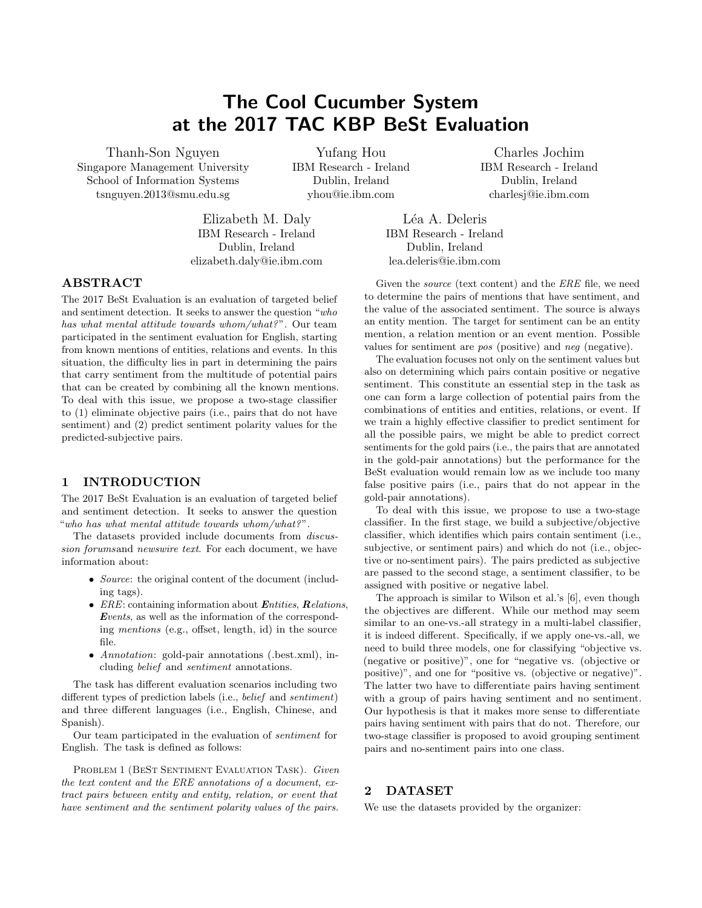# The Cool Cucumber System at the 2017 TAC KBP BeSt Evaluation

Thanh-Son Nguyen Singapore Management University School of Information Systems tsnguyen.2013@smu.edu.sg

Yufang Hou IBM Research - Ireland Dublin, Ireland yhou@ie.ibm.com

Elizabeth M. Daly IBM Research - Ireland Dublin, Ireland elizabeth.daly@ie.ibm.com

Léa A. Deleris IBM Research - Ireland Dublin, Ireland lea.deleris@ie.ibm.com

# ABSTRACT

The 2017 BeSt Evaluation is an evaluation of targeted belief and sentiment detection. It seeks to answer the question "who has what mental attitude towards whom/what?". Our team participated in the sentiment evaluation for English, starting from known mentions of entities, relations and events. In this situation, the difficulty lies in part in determining the pairs that carry sentiment from the multitude of potential pairs that can be created by combining all the known mentions. To deal with this issue, we propose a two-stage classifier to (1) eliminate objective pairs (i.e., pairs that do not have sentiment) and (2) predict sentiment polarity values for the predicted-subjective pairs.

## 1 INTRODUCTION

The 2017 BeSt Evaluation is an evaluation of targeted belief and sentiment detection. It seeks to answer the question "who has what mental attitude towards whom/what?".

The datasets provided include documents from discussion forumsand newswire text. For each document, we have information about:

- Source: the original content of the document (including tags).
- $ERE$ : containing information about *Entities*, *Relations*, Events, as well as the information of the corresponding mentions (e.g., offset, length, id) in the source file.
- *Annotation*: gold-pair annotations (.best.xml), including belief and sentiment annotations.

The task has different evaluation scenarios including two different types of prediction labels (i.e., belief and sentiment) and three different languages (i.e., English, Chinese, and Spanish).

Our team participated in the evaluation of sentiment for English. The task is defined as follows:

PROBLEM 1 (BEST SENTIMENT EVALUATION TASK). Given the text content and the ERE annotations of a document, extract pairs between entity and entity, relation, or event that have sentiment and the sentiment polarity values of the pairs.

Given the *source* (text content) and the ERE file, we need to determine the pairs of mentions that have sentiment, and the value of the associated sentiment. The source is always an entity mention. The target for sentiment can be an entity mention, a relation mention or an event mention. Possible values for sentiment are pos (positive) and neg (negative).

Charles Jochim IBM Research - Ireland Dublin, Ireland charlesj@ie.ibm.com

The evaluation focuses not only on the sentiment values but also on determining which pairs contain positive or negative sentiment. This constitute an essential step in the task as one can form a large collection of potential pairs from the combinations of entities and entities, relations, or event. If we train a highly effective classifier to predict sentiment for all the possible pairs, we might be able to predict correct sentiments for the gold pairs (i.e., the pairs that are annotated in the gold-pair annotations) but the performance for the BeSt evaluation would remain low as we include too many false positive pairs (i.e., pairs that do not appear in the gold-pair annotations).

To deal with this issue, we propose to use a two-stage classifier. In the first stage, we build a subjective/objective classifier, which identifies which pairs contain sentiment (i.e., subjective, or sentiment pairs) and which do not (i.e., objective or no-sentiment pairs). The pairs predicted as subjective are passed to the second stage, a sentiment classifier, to be assigned with positive or negative label.

The approach is similar to Wilson et al.'s [\[6\]](#page-4-0), even though the objectives are different. While our method may seem similar to an one-vs.-all strategy in a multi-label classifier, it is indeed different. Specifically, if we apply one-vs.-all, we need to build three models, one for classifying "objective vs. (negative or positive)", one for "negative vs. (objective or positive)", and one for "positive vs. (objective or negative)". The latter two have to differentiate pairs having sentiment with a group of pairs having sentiment and no sentiment. Our hypothesis is that it makes more sense to differentiate pairs having sentiment with pairs that do not. Therefore, our two-stage classifier is proposed to avoid grouping sentiment pairs and no-sentiment pairs into one class.

# 2 DATASET

We use the datasets provided by the organizer: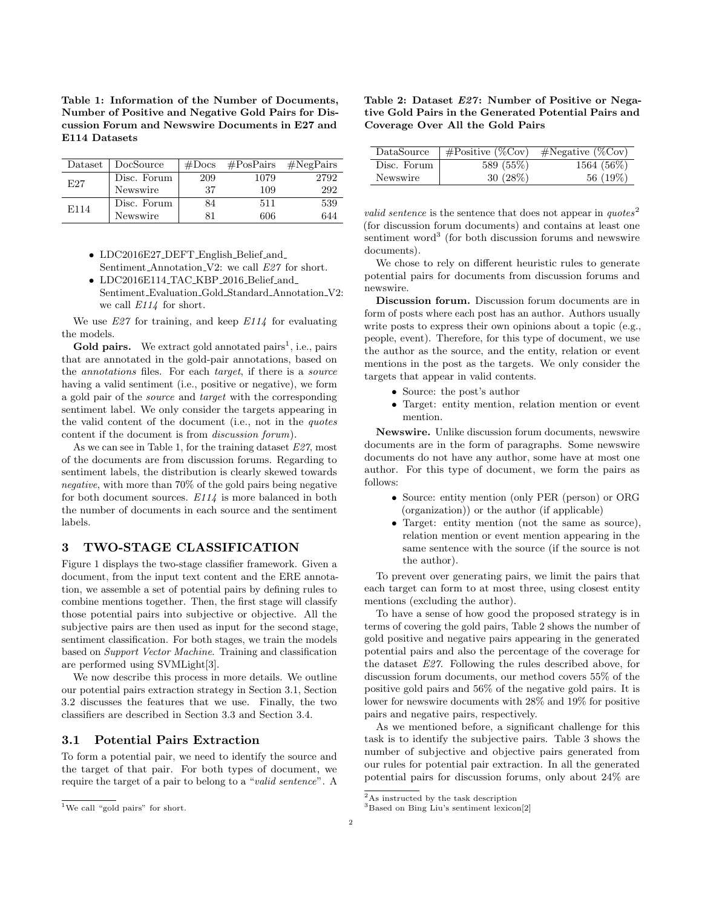<span id="page-1-1"></span>Table 1: Information of the Number of Documents, Number of Positive and Negative Gold Pairs for Discussion Forum and Newswire Documents in E27 and E114 Datasets

| Dataset          | DocSource   | #Docs |      | $\#PosPairs$ $\#NegPairs$ |
|------------------|-------------|-------|------|---------------------------|
| E27              | Disc. Forum | 209   | 1079 | 2792                      |
|                  | Newswire    | 37    | 109  | 292                       |
| E <sub>114</sub> | Disc. Forum | 84    | 511  | 539                       |
|                  | Newswire    | 81    | 606  | 644                       |

- LDC2016E27\_DEFT\_English\_Belief\_and\_ Sentiment Annotation V2: we call E27 for short.
- LDC2016E114\_TAC\_KBP\_2016\_Belief\_and\_ Sentiment\_Evaluation\_Gold\_Standard\_Annotation\_V2: we call E114 for short.

We use  $E27$  for training, and keep  $E114$  for evaluating the models.

Gold pairs. We extract gold annotated pairs<sup>[1](#page-1-0)</sup>, i.e., pairs that are annotated in the gold-pair annotations, based on the annotations files. For each target, if there is a source having a valid sentiment (i.e., positive or negative), we form a gold pair of the source and target with the corresponding sentiment label. We only consider the targets appearing in the valid content of the document (i.e., not in the quotes content if the document is from discussion forum).

As we can see in Table [1,](#page-1-1) for the training dataset  $E27$ , most of the documents are from discussion forums. Regarding to sentiment labels, the distribution is clearly skewed towards negative, with more than 70% of the gold pairs being negative for both document sources.  $E114$  is more balanced in both the number of documents in each source and the sentiment labels.

## 3 TWO-STAGE CLASSIFICATION

Figure [1](#page-2-0) displays the two-stage classifier framework. Given a document, from the input text content and the ERE annotation, we assemble a set of potential pairs by defining rules to combine mentions together. Then, the first stage will classify those potential pairs into subjective or objective. All the subjective pairs are then used as input for the second stage, sentiment classification. For both stages, we train the models based on Support Vector Machine. Training and classification are performed using SVMLight[\[3\]](#page-4-1).

We now describe this process in more details. We outline our potential pairs extraction strategy in Section [3.1,](#page-1-2) Section [3.2](#page-2-1) discusses the features that we use. Finally, the two classifiers are described in Section [3.3](#page-2-2) and Section [3.4.](#page-3-0)

#### <span id="page-1-2"></span>3.1 Potential Pairs Extraction

To form a potential pair, we need to identify the source and the target of that pair. For both types of document, we require the target of a pair to belong to a "valid sentence". A

<span id="page-1-5"></span>

| Table 2: Dataset E27: Number of Positive or Nega-    |
|------------------------------------------------------|
| tive Gold Pairs in the Generated Potential Pairs and |
| Coverage Over All the Gold Pairs                     |

| DataSource  | $\#\text{Positive } (\%\text{Cov})$ | $\#\text{Negative } (\%\text{Cov})$ |
|-------------|-------------------------------------|-------------------------------------|
| Disc. Forum | 589 (55\%)                          | 1564 (56\%)                         |
| Newswire    | $30(28\%)$                          | 56 (19%)                            |

valid sentence is the sentence that does not appear in  $\eta u \, \text{ot} \, \text{es}^2$  $\eta u \, \text{ot} \, \text{es}^2$ (for discussion forum documents) and contains at least one sentiment word<sup>[3](#page-1-4)</sup> (for both discussion forums and newswire documents).

We chose to rely on different heuristic rules to generate potential pairs for documents from discussion forums and newswire.

Discussion forum. Discussion forum documents are in form of posts where each post has an author. Authors usually write posts to express their own opinions about a topic (e.g., people, event). Therefore, for this type of document, we use the author as the source, and the entity, relation or event mentions in the post as the targets. We only consider the targets that appear in valid contents.

- Source: the post's author
- Target: entity mention, relation mention or event mention.

Newswire. Unlike discussion forum documents, newswire documents are in the form of paragraphs. Some newswire documents do not have any author, some have at most one author. For this type of document, we form the pairs as follows:

- Source: entity mention (only PER (person) or ORG (organization)) or the author (if applicable)
- Target: entity mention (not the same as source), relation mention or event mention appearing in the same sentence with the source (if the source is not the author).

To prevent over generating pairs, we limit the pairs that each target can form to at most three, using closest entity mentions (excluding the author).

To have a sense of how good the proposed strategy is in terms of covering the gold pairs, Table [2](#page-1-5) shows the number of gold positive and negative pairs appearing in the generated potential pairs and also the percentage of the coverage for the dataset E27. Following the rules described above, for discussion forum documents, our method covers 55% of the positive gold pairs and 56% of the negative gold pairs. It is lower for newswire documents with 28% and 19% for positive pairs and negative pairs, respectively.

As we mentioned before, a significant challenge for this task is to identify the subjective pairs. Table [3](#page-2-3) shows the number of subjective and objective pairs generated from our rules for potential pair extraction. In all the generated potential pairs for discussion forums, only about 24% are

<span id="page-1-0"></span><sup>&</sup>lt;sup>1</sup>We call "gold pairs" for short.

<span id="page-1-3"></span> ${\rm ^2As}$  instructed by the task description

<span id="page-1-4"></span><sup>3</sup>Based on Bing Liu's sentiment lexicon[\[2\]](#page-4-2)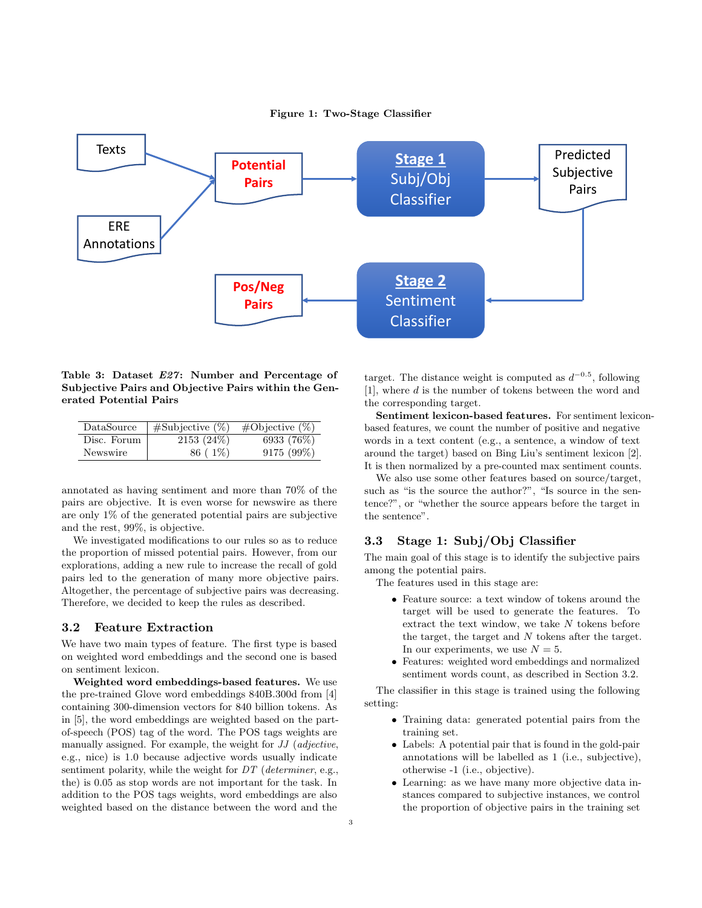Figure 1: Two-Stage Classifier

<span id="page-2-0"></span>

<span id="page-2-3"></span>Table 3: Dataset E27: Number and Percentage of Subjective Pairs and Objective Pairs within the Generated Potential Pairs

| DataSource  | $\#$ Subjective $(\%)$ | $\# \text{Objective } (\%)$ |
|-------------|------------------------|-----------------------------|
| Disc. Forum | $2153(24\%)$           | 6933 (76\%)                 |
| Newswire    | 86 (1\%)               | $9175(99\%)$                |

annotated as having sentiment and more than 70% of the pairs are objective. It is even worse for newswire as there are only 1% of the generated potential pairs are subjective and the rest, 99%, is objective.

We investigated modifications to our rules so as to reduce the proportion of missed potential pairs. However, from our explorations, adding a new rule to increase the recall of gold pairs led to the generation of many more objective pairs. Altogether, the percentage of subjective pairs was decreasing. Therefore, we decided to keep the rules as described.

#### <span id="page-2-1"></span>3.2 Feature Extraction

We have two main types of feature. The first type is based on weighted word embeddings and the second one is based on sentiment lexicon.

Weighted word embeddings-based features. We use the pre-trained Glove word embeddings 840B.300d from [\[4\]](#page-4-3) containing 300-dimension vectors for 840 billion tokens. As in [\[5\]](#page-4-4), the word embeddings are weighted based on the partof-speech (POS) tag of the word. The POS tags weights are manually assigned. For example, the weight for JJ (adjective, e.g., nice) is 1.0 because adjective words usually indicate sentiment polarity, while the weight for  $DT$  (determiner, e.g., the) is 0.05 as stop words are not important for the task. In addition to the POS tags weights, word embeddings are also weighted based on the distance between the word and the

target. The distance weight is computed as  $d^{-0.5}$ , following [\[1\]](#page-4-5), where d is the number of tokens between the word and the corresponding target.

Sentiment lexicon-based features. For sentiment lexiconbased features, we count the number of positive and negative words in a text content (e.g., a sentence, a window of text around the target) based on Bing Liu's sentiment lexicon [\[2\]](#page-4-2). It is then normalized by a pre-counted max sentiment counts.

We also use some other features based on source/target, such as "is the source the author?", "Is source in the sentence?", or "whether the source appears before the target in the sentence".

## <span id="page-2-2"></span>3.3 Stage 1: Subj/Obj Classifier

The main goal of this stage is to identify the subjective pairs among the potential pairs.

- The features used in this stage are:
	- Feature source: a text window of tokens around the target will be used to generate the features. To extract the text window, we take  $N$  tokens before the target, the target and  $N$  tokens after the target. In our experiments, we use  $N = 5$ .
	- Features: weighted word embeddings and normalized sentiment words count, as described in Section [3.2.](#page-2-1)

The classifier in this stage is trained using the following setting:

- Training data: generated potential pairs from the training set.
- Labels: A potential pair that is found in the gold-pair annotations will be labelled as 1 (i.e., subjective), otherwise -1 (i.e., objective).
- Learning: as we have many more objective data instances compared to subjective instances, we control the proportion of objective pairs in the training set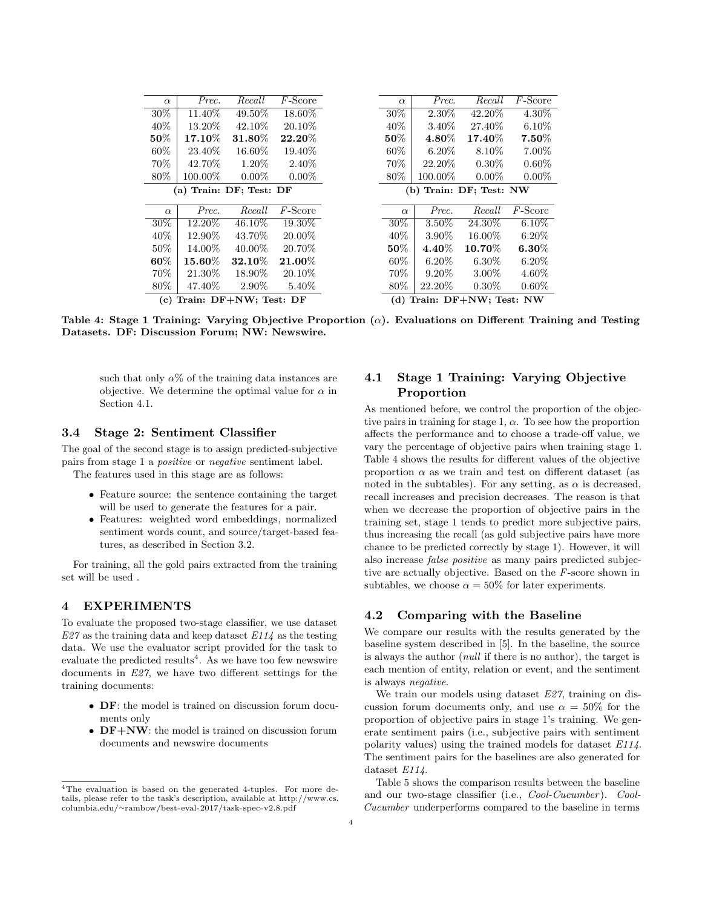<span id="page-3-3"></span>

| $\alpha$                | Prec.      | Recall    | $F$ -Score | $\alpha$                | Prec.    | Recall    | $F$ -Score |
|-------------------------|------------|-----------|------------|-------------------------|----------|-----------|------------|
| 30\%                    | 11.40\%    | 49.50%    | 18.60%     | 30%                     | 2.30\%   | 42.20%    | 4.30%      |
| 40\%                    | 13.20\%    | 42.10\%   | 20.10\%    | $40\%$                  | 3.40\%   | 27.40\%   | $6.10\%$   |
| $50\%$                  | $17.10\%$  | $31.80\%$ | $22.20\%$  | $50\%$                  | $4.80\%$ | 17.40%    | $7.50\%$   |
| 60\%                    | 23.40\%    | $16.60\%$ | 19.40\%    | $60\%$                  | $6.20\%$ | 8.10\%    | 7.00%      |
| 70%                     | 42.70\%    | 1.20%     | 2.40\%     | 70%                     | 22.20\%  | $0.30\%$  | $0.60\%$   |
| 80%                     | $100.00\%$ | $0.00\%$  | $0.00\%$   | $80\%$                  | 100.00%  | $0.00\%$  | $0.00\%$   |
| (a) Train: DF; Test: DF |            |           |            | (b) Train: DF; Test: NW |          |           |            |
|                         |            |           |            |                         |          |           |            |
|                         |            |           |            |                         |          |           |            |
| $\alpha$                | Prec.      | Recall    | $F$ -Score | $\alpha$                | Prec.    | Recall    | $F$ -Score |
| 30%                     | 12.20%     | 46.10%    | 19.30\%    | 30\%                    | 3.50%    | 24.30%    | $6.10\%$   |
| 40%                     | 12.90%     | 43.70%    | 20.00%     | 40\%                    | 3.90%    | 16.00%    | $6.20\%$   |
| 50%                     | 14.00%     | $40.00\%$ | 20.70\%    | $50\%$                  | $4.40\%$ | $10.70\%$ | $6.30\%$   |
| $60\%$                  | 15.60%     | $32.10\%$ | $21.00\%$  | $60\%$                  | $6.20\%$ | $6.30\%$  | $6.20\%$   |
| 70%                     | 21.30\%    | 18.90%    | 20.10\%    | 70\%                    | $9.20\%$ | $3.00\%$  | 4.60%      |
| 80%                     | 47.40\%    | 2.90%     | 5.40\%     | 80\%                    | 22.20\%  | $0.30\%$  | $0.60\%$   |

Table 4: Stage 1 Training: Varying Objective Proportion  $(\alpha)$ . Evaluations on Different Training and Testing Datasets. DF: Discussion Forum; NW: Newswire.

such that only  $\alpha\%$  of the training data instances are objective. We determine the optimal value for  $\alpha$  in Section [4.1.](#page-3-1)

#### <span id="page-3-0"></span>3.4 Stage 2: Sentiment Classifier

The goal of the second stage is to assign predicted-subjective pairs from stage 1 a positive or negative sentiment label. The features used in this stage are as follows:

- Feature source: the sentence containing the target will be used to generate the features for a pair.
- Features: weighted word embeddings, normalized sentiment words count, and source/target-based features, as described in Section [3.2.](#page-2-1)

For training, all the gold pairs extracted from the training set will be used .

## 4 EXPERIMENTS

To evaluate the proposed two-stage classifier, we use dataset  $E27$  as the training data and keep dataset  $E114$  as the testing data. We use the evaluator script provided for the task to evaluate the predicted results<sup>[4](#page-3-2)</sup>. As we have too few newswire documents in E27, we have two different settings for the training documents:

- DF: the model is trained on discussion forum documents only
- **DF+NW**: the model is trained on discussion forum documents and newswire documents

# <span id="page-3-1"></span>4.1 Stage 1 Training: Varying Objective Proportion

As mentioned before, we control the proportion of the objective pairs in training for stage 1,  $\alpha$ . To see how the proportion affects the performance and to choose a trade-off value, we vary the percentage of objective pairs when training stage 1. Table [4](#page-3-3) shows the results for different values of the objective proportion  $\alpha$  as we train and test on different dataset (as noted in the subtables). For any setting, as  $\alpha$  is decreased, recall increases and precision decreases. The reason is that when we decrease the proportion of objective pairs in the training set, stage 1 tends to predict more subjective pairs, thus increasing the recall (as gold subjective pairs have more chance to be predicted correctly by stage 1). However, it will also increase false positive as many pairs predicted subjective are actually objective. Based on the F-score shown in subtables, we choose  $\alpha = 50\%$  for later experiments.

## 4.2 Comparing with the Baseline

We compare our results with the results generated by the baseline system described in [\[5\]](#page-4-4). In the baseline, the source is always the author (null if there is no author), the target is each mention of entity, relation or event, and the sentiment is always negative.

We train our models using dataset E27, training on discussion forum documents only, and use  $\alpha = 50\%$  for the proportion of objective pairs in stage 1's training. We generate sentiment pairs (i.e., subjective pairs with sentiment polarity values) using the trained models for dataset E114. The sentiment pairs for the baselines are also generated for dataset E114.

Table [5](#page-4-6) shows the comparison results between the baseline and our two-stage classifier (i.e., Cool-Cucumber). Cool-Cucumber underperforms compared to the baseline in terms

<span id="page-3-2"></span><sup>4</sup>The evaluation is based on the generated 4-tuples. For more details, please refer to the task's description, available at [http://www.cs.](http://www.cs.columbia.edu/~rambow/best-eval-2017/task-spec-v2.8.pdf) columbia.edu/∼[rambow/best-eval-2017/task-spec-v2.8.pdf](http://www.cs.columbia.edu/~rambow/best-eval-2017/task-spec-v2.8.pdf)